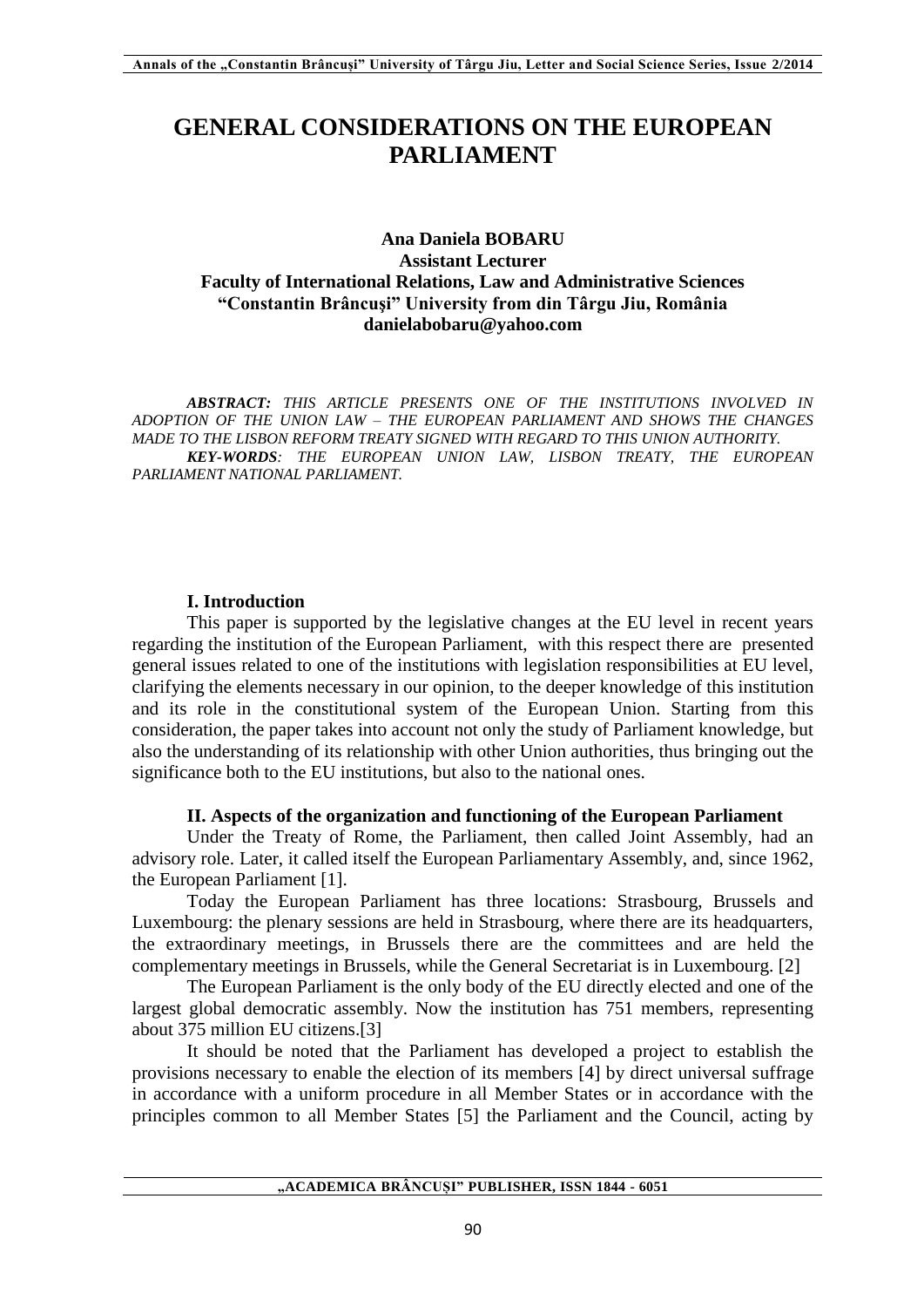# **GENERAL CONSIDERATIONS ON THE EUROPEAN PARLIAMENT**

## **Ana Daniela BOBARU Assistant Lecturer Faculty of International Relations, Law and Administrative Sciences "Constantin Brâncuşi" University from din Târgu Jiu, România danielabobaru@yahoo.com**

*ABSTRACT: THIS ARTICLE PRESENTS ONE OF THE INSTITUTIONS INVOLVED IN ADOPTION OF THE UNION LAW – THE EUROPEAN PARLIAMENT AND SHOWS THE CHANGES MADE TO THE LISBON REFORM TREATY SIGNED WITH REGARD TO THIS UNION AUTHORITY. KEY-WORDS: THE EUROPEAN UNION LAW, LISBON TREATY, THE EUROPEAN PARLIAMENT NATIONAL PARLIAMENT.* 

# **I. Introduction**

This paper is supported by the legislative changes at the EU level in recent years regarding the institution of the European Parliament, with this respect there are presented general issues related to one of the institutions with legislation responsibilities at EU level, clarifying the elements necessary in our opinion, to the deeper knowledge of this institution and its role in the constitutional system of the European Union. Starting from this consideration, the paper takes into account not only the study of Parliament knowledge, but also the understanding of its relationship with other Union authorities, thus bringing out the significance both to the EU institutions, but also to the national ones.

#### **II. Aspects of the organization and functioning of the European Parliament**

Under the Treaty of Rome, the Parliament, then called Joint Assembly, had an advisory role. Later, it called itself the European Parliamentary Assembly, and, since 1962, the European Parliament [1].

Today the European Parliament has three locations: Strasbourg, Brussels and Luxembourg: the plenary sessions are held in Strasbourg, where there are its headquarters, the extraordinary meetings, in Brussels there are the committees and are held the complementary meetings in Brussels, while the General Secretariat is in Luxembourg. [2]

The European Parliament is the only body of the EU directly elected and one of the largest global democratic assembly. Now the institution has 751 members, representing about 375 million EU citizens.[3]

It should be noted that the Parliament has developed a project to establish the provisions necessary to enable the election of its members [4] by direct universal suffrage in accordance with a uniform procedure in all Member States or in accordance with the principles common to all Member States [5] the Parliament and the Council, acting by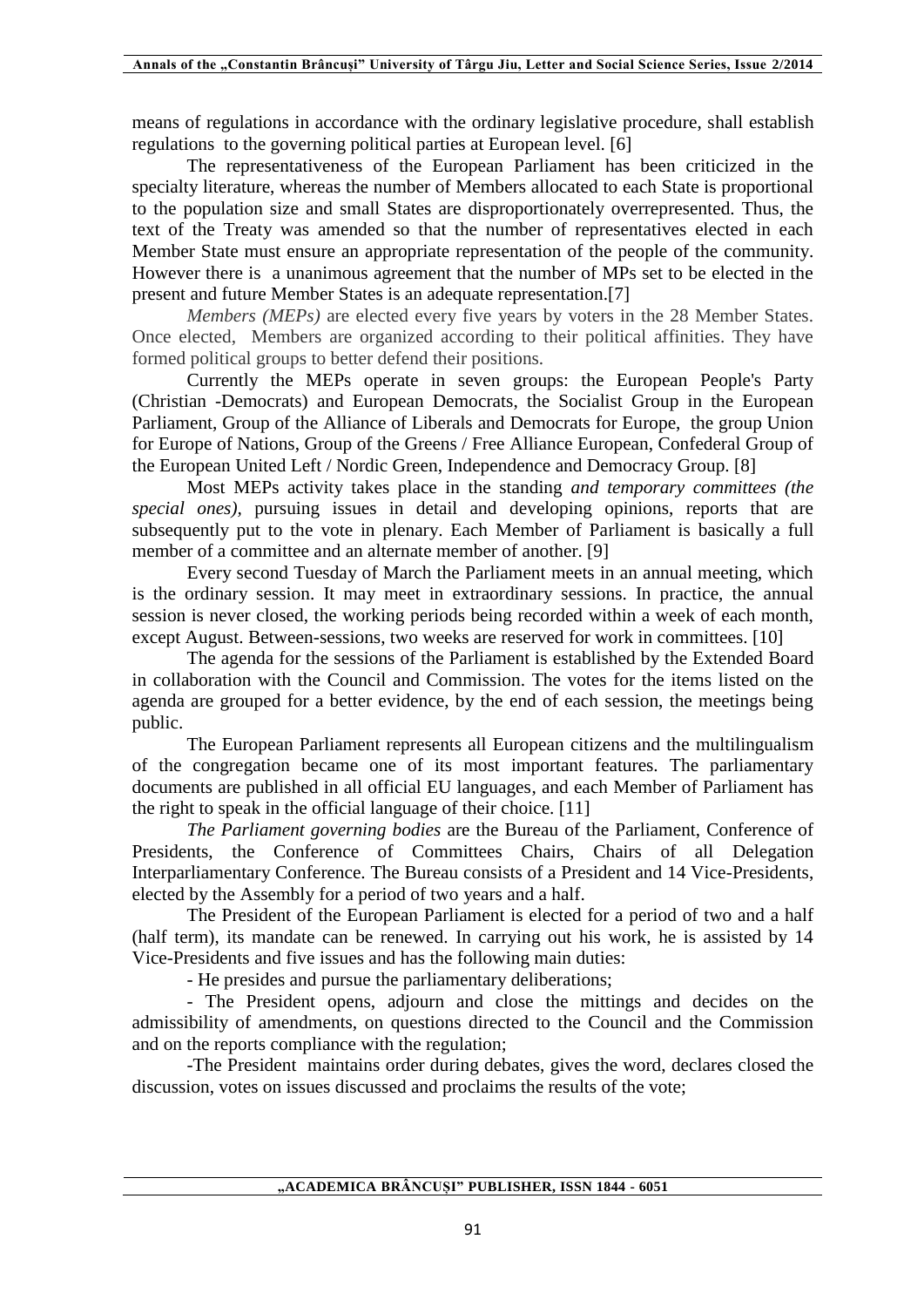means of regulations in accordance with the ordinary legislative procedure, shall establish regulations to the governing political parties at European level. [6]

The representativeness of the European Parliament has been criticized in the specialty literature, whereas the number of Members allocated to each State is proportional to the population size and small States are disproportionately overrepresented. Thus, the text of the Treaty was amended so that the number of representatives elected in each Member State must ensure an appropriate representation of the people of the community. However there is a unanimous agreement that the number of MPs set to be elected in the present and future Member States is an adequate representation.[7]

*Members (MEPs)* are elected every five years by voters in the 28 Member States. Once elected, Members are organized according to their political affinities. They have formed political groups to better defend their positions*.* 

Currently the MEPs operate in seven groups: the European People's Party (Christian -Democrats) and European Democrats, the Socialist Group in the European Parliament, Group of the Alliance of Liberals and Democrats for Europe, the group Union for Europe of Nations, Group of the Greens / Free Alliance European, Confederal Group of the European United Left / Nordic Green, Independence and Democracy Group. [8]

Most MEPs activity takes place in the standing *and temporary committees (the special ones),* pursuing issues in detail and developing opinions, reports that are subsequently put to the vote in plenary. Each Member of Parliament is basically a full member of a committee and an alternate member of another. [9]

Every second Tuesday of March the Parliament meets in an annual meeting, which is the ordinary session. It may meet in extraordinary sessions. In practice, the annual session is never closed, the working periods being recorded within a week of each month, except August. Between-sessions, two weeks are reserved for work in committees. [10]

The agenda for the sessions of the Parliament is established by the Extended Board in collaboration with the Council and Commission. The votes for the items listed on the agenda are grouped for a better evidence, by the end of each session, the meetings being public.

The European Parliament represents all European citizens and the multilingualism of the congregation became one of its most important features. The parliamentary documents are published in all official EU languages, and each Member of Parliament has the right to speak in the official language of their choice. [11]

*The Parliament governing bodies* are the Bureau of the Parliament, Conference of Presidents, the Conference of Committees Chairs, Chairs of all Delegation Interparliamentary Conference. The Bureau consists of a President and 14 Vice-Presidents, elected by the Assembly for a period of two years and a half.

The President of the European Parliament is elected for a period of two and a half (half term), its mandate can be renewed. In carrying out his work, he is assisted by 14 Vice-Presidents and five issues and has the following main duties:

- He presides and pursue the parliamentary deliberations;

- The President opens, adjourn and close the mittings and decides on the admissibility of amendments, on questions directed to the Council and the Commission and on the reports compliance with the regulation;

-The President maintains order during debates, gives the word, declares closed the discussion, votes on issues discussed and proclaims the results of the vote;

**"ACADEMICA BRÂNCUȘI" PUBLISHER, ISSN 1844 - 6051**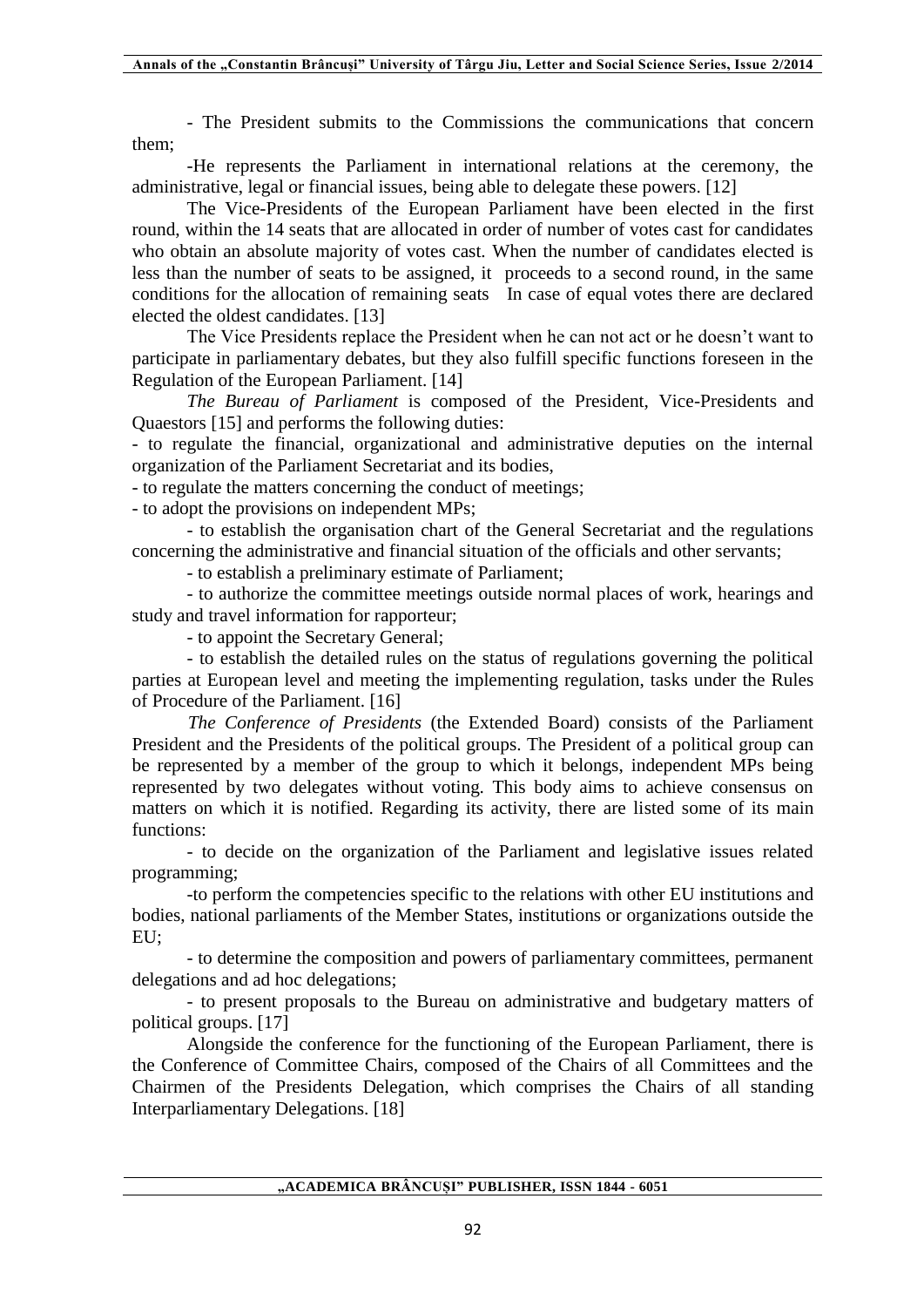- The President submits to the Commissions the communications that concern them;

-He represents the Parliament in international relations at the ceremony, the administrative, legal or financial issues, being able to delegate these powers. [12]

The Vice-Presidents of the European Parliament have been elected in the first round, within the 14 seats that are allocated in order of number of votes cast for candidates who obtain an absolute majority of votes cast. When the number of candidates elected is less than the number of seats to be assigned, it proceeds to a second round, in the same conditions for the allocation of remaining seats In case of equal votes there are declared elected the oldest candidates. [13]

The Vice Presidents replace the President when he can not act or he doesn't want to participate in parliamentary debates, but they also fulfill specific functions foreseen in the Regulation of the European Parliament. [14]

*The Bureau of Parliament* is composed of the President, Vice-Presidents and Quaestors [15] and performs the following duties:

- to regulate the financial, organizational and administrative deputies on the internal organization of the Parliament Secretariat and its bodies,

- to regulate the matters concerning the conduct of meetings;

- to adopt the provisions on independent MPs;

- to establish the organisation chart of the General Secretariat and the regulations concerning the administrative and financial situation of the officials and other servants;

- to establish a preliminary estimate of Parliament;

- to authorize the committee meetings outside normal places of work, hearings and study and travel information for rapporteur;

- to appoint the Secretary General;

- to establish the detailed rules on the status of regulations governing the political parties at European level and meeting the implementing regulation, tasks under the Rules of Procedure of the Parliament. [16]

*The Conference of Presidents* (the Extended Board) consists of the Parliament President and the Presidents of the political groups. The President of a political group can be represented by a member of the group to which it belongs, independent MPs being represented by two delegates without voting. This body aims to achieve consensus on matters on which it is notified. Regarding its activity, there are listed some of its main functions:

- to decide on the organization of the Parliament and legislative issues related programming;

-to perform the competencies specific to the relations with other EU institutions and bodies, national parliaments of the Member States, institutions or organizations outside the EU;

- to determine the composition and powers of parliamentary committees, permanent delegations and ad hoc delegations;

- to present proposals to the Bureau on administrative and budgetary matters of political groups. [17]

Alongside the conference for the functioning of the European Parliament, there is the Conference of Committee Chairs, composed of the Chairs of all Committees and the Chairmen of the Presidents Delegation, which comprises the Chairs of all standing Interparliamentary Delegations. [18]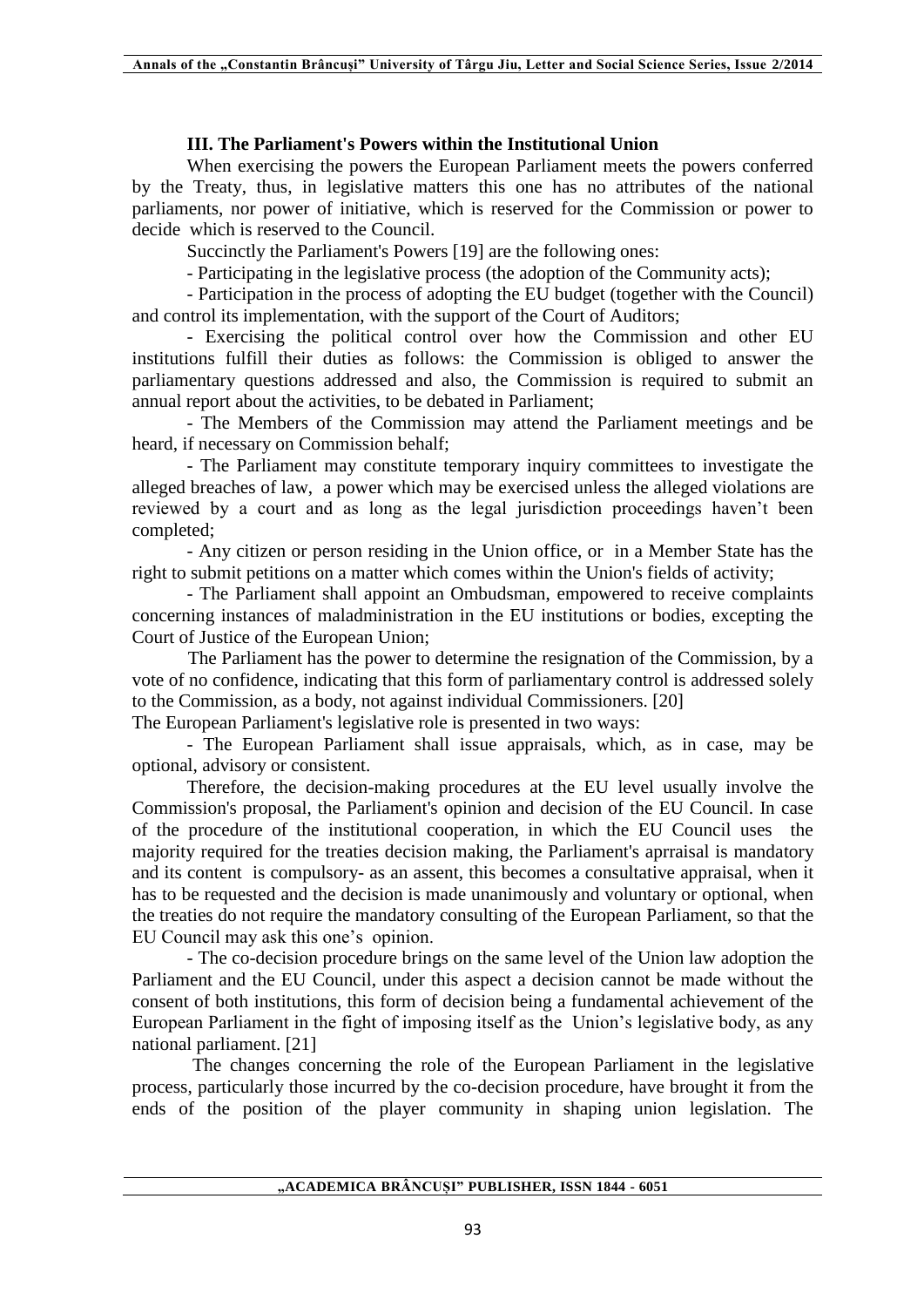#### **III. The Parliament's Powers within the Institutional Union**

When exercising the powers the European Parliament meets the powers conferred by the Treaty, thus, in legislative matters this one has no attributes of the national parliaments, nor power of initiative, which is reserved for the Commission or power to decide which is reserved to the Council.

Succinctly the Parliament's Powers [19] are the following ones:

- Participating in the legislative process (the adoption of the Community acts);

- Participation in the process of adopting the EU budget (together with the Council) and control its implementation, with the support of the Court of Auditors;

- Exercising the political control over how the Commission and other EU institutions fulfill their duties as follows: the Commission is obliged to answer the parliamentary questions addressed and also, the Commission is required to submit an annual report about the activities, to be debated in Parliament;

- The Members of the Commission may attend the Parliament meetings and be heard, if necessary on Commission behalf;

- The Parliament may constitute temporary inquiry committees to investigate the alleged breaches of law, a power which may be exercised unless the alleged violations are reviewed by a court and as long as the legal jurisdiction proceedings haven't been completed;

- Any citizen or person residing in the Union office, or in a Member State has the right to submit petitions on a matter which comes within the Union's fields of activity;

- The Parliament shall appoint an Ombudsman, empowered to receive complaints concerning instances of maladministration in the EU institutions or bodies, excepting the Court of Justice of the European Union;

The Parliament has the power to determine the resignation of the Commission, by a vote of no confidence, indicating that this form of parliamentary control is addressed solely to the Commission, as a body, not against individual Commissioners. [20] The European Parliament's legislative role is presented in two ways:

- The European Parliament shall issue appraisals, which, as in case, may be optional, advisory or consistent.

Therefore, the decision-making procedures at the EU level usually involve the Commission's proposal, the Parliament's opinion and decision of the EU Council. In case of the procedure of the institutional cooperation, in which the EU Council uses the majority required for the treaties decision making, the Parliament's aprraisal is mandatory and its content is compulsory- as an assent, this becomes a consultative appraisal, when it has to be requested and the decision is made unanimously and voluntary or optional, when the treaties do not require the mandatory consulting of the European Parliament, so that the EU Council may ask this one's opinion.

- The co-decision procedure brings on the same level of the Union law adoption the Parliament and the EU Council, under this aspect a decision cannot be made without the consent of both institutions, this form of decision being a fundamental achievement of the European Parliament in the fight of imposing itself as the Union's legislative body, as any national parliament. [21]

The changes concerning the role of the European Parliament in the legislative process, particularly those incurred by the co-decision procedure, have brought it from the ends of the position of the player community in shaping union legislation. The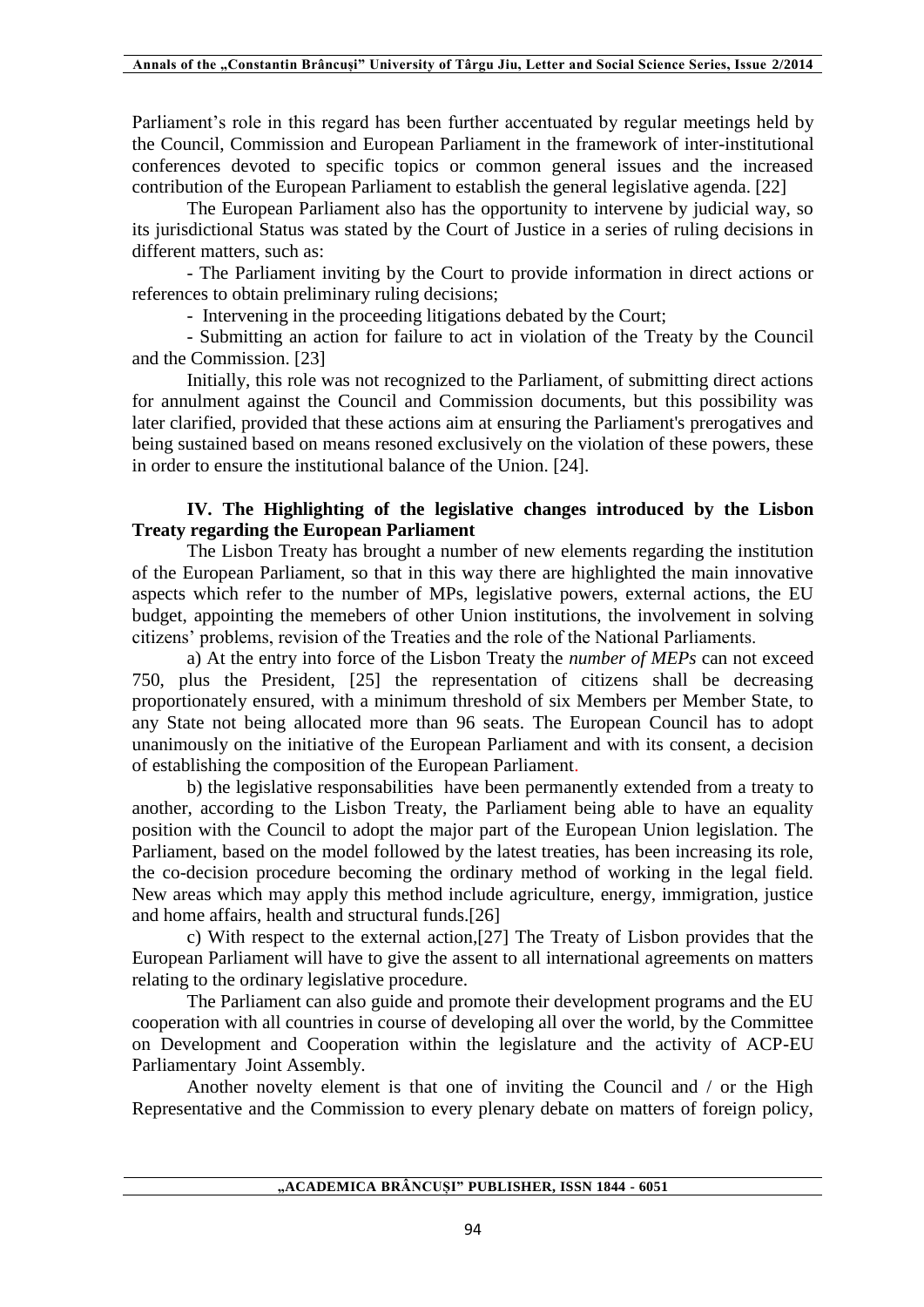Parliament's role in this regard has been further accentuated by regular meetings held by the Council, Commission and European Parliament in the framework of inter-institutional conferences devoted to specific topics or common general issues and the increased contribution of the European Parliament to establish the general legislative agenda. [22]

The European Parliament also has the opportunity to intervene by judicial way, so its jurisdictional Status was stated by the Court of Justice in a series of ruling decisions in different matters, such as:

- The Parliament inviting by the Court to provide information in direct actions or references to obtain preliminary ruling decisions;

- Intervening in the proceeding litigations debated by the Court;

- Submitting an action for failure to act in violation of the Treaty by the Council and the Commission. [23]

Initially, this role was not recognized to the Parliament, of submitting direct actions for annulment against the Council and Commission documents, but this possibility was later clarified, provided that these actions aim at ensuring the Parliament's prerogatives and being sustained based on means resoned exclusively on the violation of these powers, these in order to ensure the institutional balance of the Union. [24].

## **IV. The Highlighting of the legislative changes introduced by the Lisbon Treaty regarding the European Parliament**

The Lisbon Treaty has brought a number of new elements regarding the institution of the European Parliament, so that in this way there are highlighted the main innovative aspects which refer to the number of MPs, legislative powers, external actions, the EU budget, appointing the memebers of other Union institutions, the involvement in solving citizens' problems, revision of the Treaties and the role of the National Parliaments.

a) At the entry into force of the Lisbon Treaty the *number of MEPs* can not exceed 750, plus the President, [25] the representation of citizens shall be decreasing proportionately ensured, with a minimum threshold of six Members per Member State, to any State not being allocated more than 96 seats. The European Council has to adopt unanimously on the initiative of the European Parliament and with its consent, a decision of establishing the composition of the European Parliament.

b) the legislative responsabilities have been permanently extended from a treaty to another, according to the Lisbon Treaty, the Parliament being able to have an equality position with the Council to adopt the major part of the European Union legislation. The Parliament, based on the model followed by the latest treaties, has been increasing its role, the co-decision procedure becoming the ordinary method of working in the legal field. New areas which may apply this method include agriculture, energy, immigration, justice and home affairs, health and structural funds.[26]

c) With respect to the external action,[27] The Treaty of Lisbon provides that the European Parliament will have to give the assent to all international agreements on matters relating to the ordinary legislative procedure.

The Parliament can also guide and promote their development programs and the EU cooperation with all countries in course of developing all over the world, by the Committee on Development and Cooperation within the legislature and the activity of ACP-EU Parliamentary Joint Assembly.

Another novelty element is that one of inviting the Council and / or the High Representative and the Commission to every plenary debate on matters of foreign policy,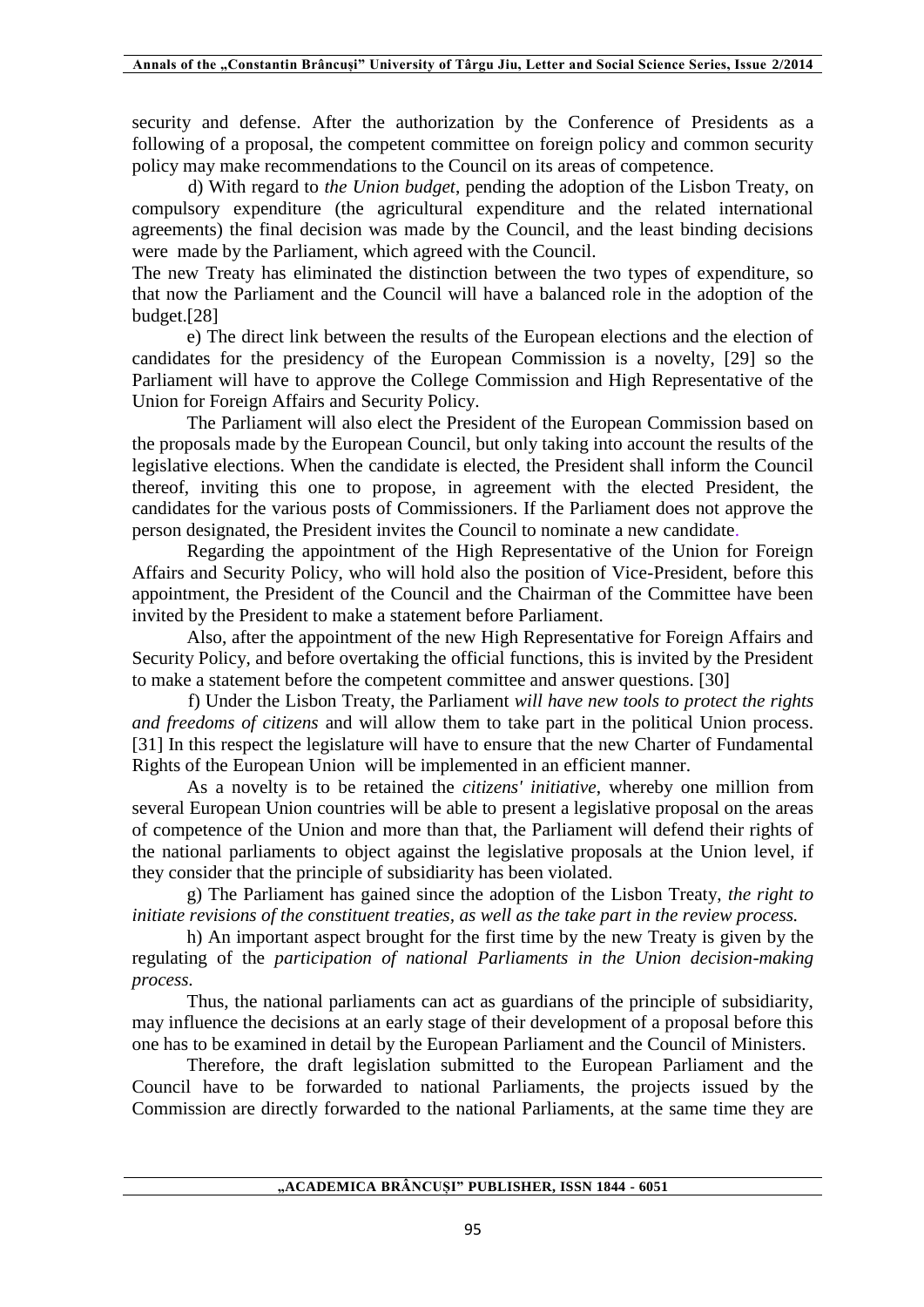security and defense. After the authorization by the Conference of Presidents as a following of a proposal, the competent committee on foreign policy and common security policy may make recommendations to the Council on its areas of competence.

d) With regard to *the Union budget*, pending the adoption of the Lisbon Treaty, on compulsory expenditure (the agricultural expenditure and the related international agreements) the final decision was made by the Council, and the least binding decisions were made by the Parliament, which agreed with the Council.

The new Treaty has eliminated the distinction between the two types of expenditure, so that now the Parliament and the Council will have a balanced role in the adoption of the budget.[28]

e) The direct link between the results of the European elections and the election of candidates for the presidency of the European Commission is a novelty, [29] so the Parliament will have to approve the College Commission and High Representative of the Union for Foreign Affairs and Security Policy.

The Parliament will also elect the President of the European Commission based on the proposals made by the European Council, but only taking into account the results of the legislative elections. When the candidate is elected, the President shall inform the Council thereof, inviting this one to propose, in agreement with the elected President, the candidates for the various posts of Commissioners. If the Parliament does not approve the person designated, the President invites the Council to nominate a new candidate.

Regarding the appointment of the High Representative of the Union for Foreign Affairs and Security Policy, who will hold also the position of Vice-President, before this appointment, the President of the Council and the Chairman of the Committee have been invited by the President to make a statement before Parliament.

Also, after the appointment of the new High Representative for Foreign Affairs and Security Policy, and before overtaking the official functions, this is invited by the President to make a statement before the competent committee and answer questions. [30]

 f) Under the Lisbon Treaty, the Parliament *will have new tools to protect the rights and freedoms of citizens* and will allow them to take part in the political Union process. [31] In this respect the legislature will have to ensure that the new Charter of Fundamental Rights of the European Union will be implemented in an efficient manner.

As a novelty is to be retained the *citizens' initiative*, whereby one million from several European Union countries will be able to present a legislative proposal on the areas of competence of the Union and more than that, the Parliament will defend their rights of the national parliaments to object against the legislative proposals at the Union level, if they consider that the principle of subsidiarity has been violated.

g) The Parliament has gained since the adoption of the Lisbon Treaty, *the right to initiate revisions of the constituent treaties, as well as the take part in the review process.* 

h) An important aspect brought for the first time by the new Treaty is given by the regulating of the *participation of national Parliaments in the Union decision-making process.* 

Thus, the national parliaments can act as guardians of the principle of subsidiarity, may influence the decisions at an early stage of their development of a proposal before this one has to be examined in detail by the European Parliament and the Council of Ministers.

Therefore, the draft legislation submitted to the European Parliament and the Council have to be forwarded to national Parliaments, the projects issued by the Commission are directly forwarded to the national Parliaments, at the same time they are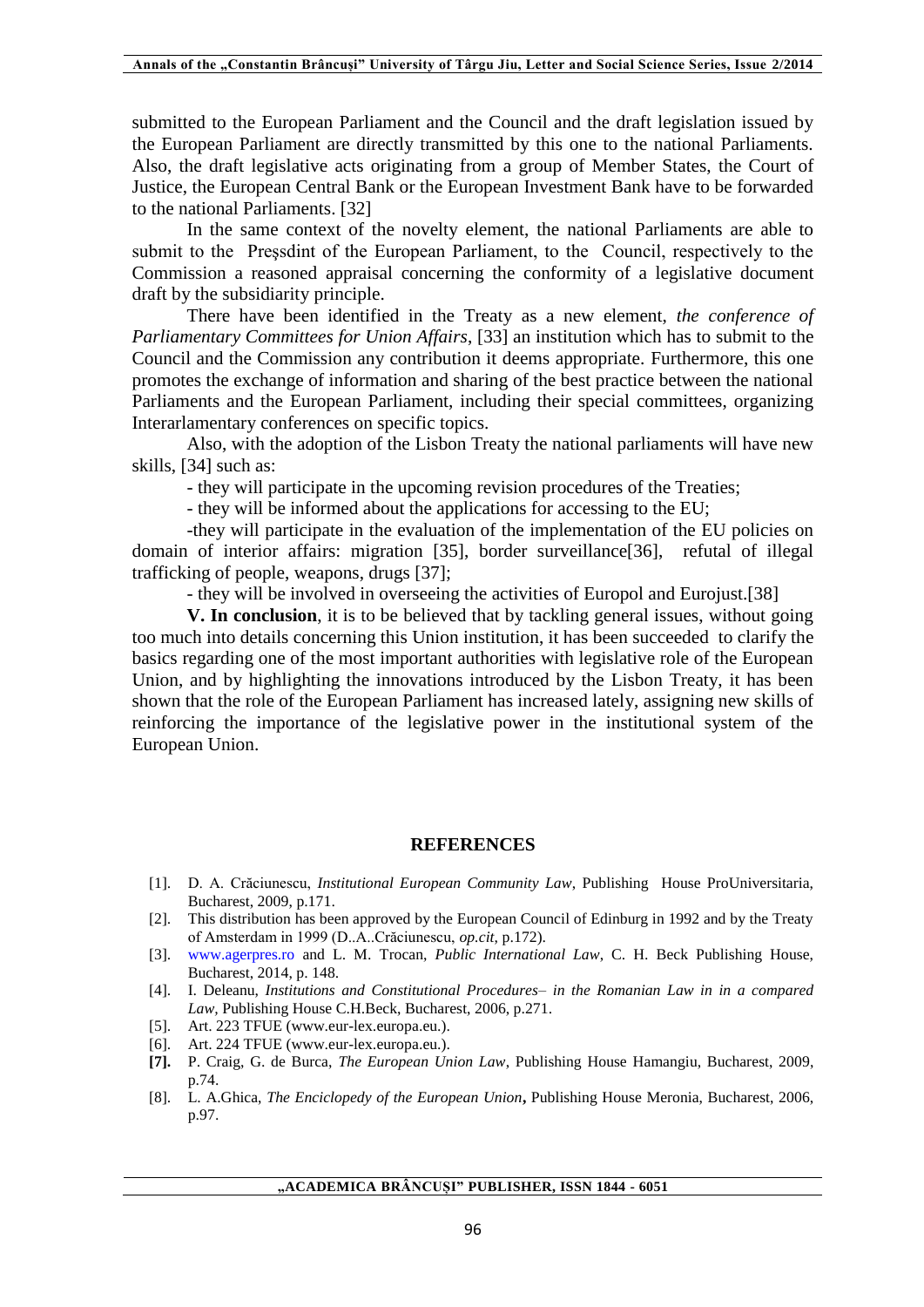submitted to the European Parliament and the Council and the draft legislation issued by the European Parliament are directly transmitted by this one to the national Parliaments. Also, the draft legislative acts originating from a group of Member States, the Court of Justice, the European Central Bank or the European Investment Bank have to be forwarded to the national Parliaments. [32]

In the same context of the novelty element, the national Parliaments are able to submit to the Preşsdint of the European Parliament, to the Council, respectively to the Commission a reasoned appraisal concerning the conformity of a legislative document draft by the subsidiarity principle.

There have been identified in the Treaty as a new element, *the conference of Parliamentary Committees for Union Affairs*, [33] an institution which has to submit to the Council and the Commission any contribution it deems appropriate. Furthermore, this one promotes the exchange of information and sharing of the best practice between the national Parliaments and the European Parliament, including their special committees, organizing Interarlamentary conferences on specific topics.

Also, with the adoption of the Lisbon Treaty the national parliaments will have new skills, [34] such as:

- they will participate in the upcoming revision procedures of the Treaties;

- they will be informed about the applications for accessing to the EU;

-they will participate in the evaluation of the implementation of the EU policies on domain of interior affairs: migration [35], border surveillance[36], refutal of illegal trafficking of people, weapons, drugs [37];

- they will be involved in overseeing the activities of Europol and Eurojust.[38]

**V. In conclusion**, it is to be believed that by tackling general issues, without going too much into details concerning this Union institution, it has been succeeded to clarify the basics regarding one of the most important authorities with legislative role of the European Union, and by highlighting the innovations introduced by the Lisbon Treaty, it has been shown that the role of the European Parliament has increased lately, assigning new skills of reinforcing the importance of the legislative power in the institutional system of the European Union.

#### **REFERENCES**

- [1]. D. A. Crăciunescu, *Institutional European Community Law*, Publishing House ProUniversitaria, Bucharest, 2009, p.171.
- [2]. This distribution has been approved by the European Council of Edinburg in 1992 and by the Treaty of Amsterdam in 1999 (D..A..Crăciunescu, *op.cit*, p.172).
- [3]. [www.agerpres.ro](http://www.agerpres.ro/) and L. M. Trocan, *Public International Law*, C. H. Beck Publishing House, Bucharest, 2014, p. 148.
- [4]. I. Deleanu, *Institutions and Constitutional Procedures– in the Romanian Law in in a compared Law,* Publishing House C.H.Beck, Bucharest, 2006, p.271.
- [5]. Art. 223 TFUE (www.eur-lex.europa.eu.).
- [6]. Art. 224 TFUE (www.eur-lex.europa.eu.).
- **[7].** P. Craig, G. de Burca, *The European Union Law*, Publishing House Hamangiu, Bucharest, 2009, p.74.
- [8]. L. A.Ghica, *The Enciclopedy of the European Union***,** Publishing House Meronia, Bucharest, 2006, p.97.